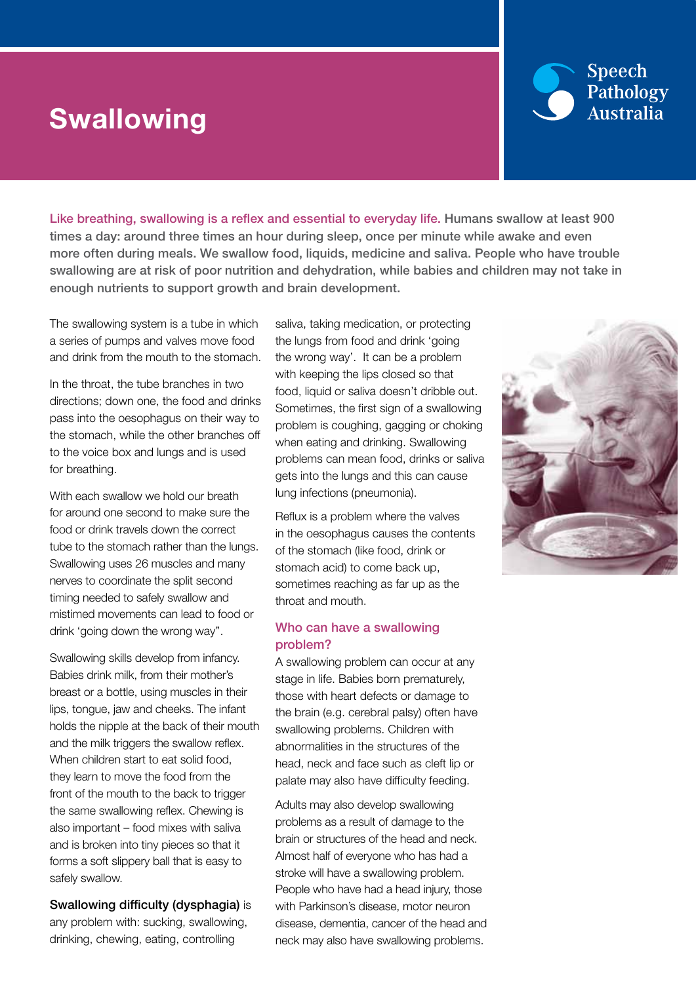# **Swallowing**



Like breathing, swallowing is a reflex and essential to everyday life. Humans swallow at least 900 times a day: around three times an hour during sleep, once per minute while awake and even more often during meals. We swallow food, liquids, medicine and saliva. People who have trouble swallowing are at risk of poor nutrition and dehydration, while babies and children may not take in enough nutrients to support growth and brain development.

The swallowing system is a tube in which a series of pumps and valves move food and drink from the mouth to the stomach.

In the throat, the tube branches in two directions; down one, the food and drinks pass into the oesophagus on their way to the stomach, while the other branches off to the voice box and lungs and is used for breathing.

With each swallow we hold our breath for around one second to make sure the food or drink travels down the correct tube to the stomach rather than the lungs. Swallowing uses 26 muscles and many nerves to coordinate the split second timing needed to safely swallow and mistimed movements can lead to food or drink 'going down the wrong way''.

Swallowing skills develop from infancy. Babies drink milk, from their mother's breast or a bottle, using muscles in their lips, tongue, jaw and cheeks. The infant holds the nipple at the back of their mouth and the milk triggers the swallow reflex. When children start to eat solid food. they learn to move the food from the front of the mouth to the back to trigger the same swallowing reflex. Chewing is also important – food mixes with saliva and is broken into tiny pieces so that it forms a soft slippery ball that is easy to safely swallow.

Swallowing difficulty (dysphagia) is any problem with: sucking, swallowing, drinking, chewing, eating, controlling

saliva, taking medication, or protecting the lungs from food and drink 'going the wrong way'. It can be a problem with keeping the lips closed so that food, liquid or saliva doesn't dribble out. Sometimes, the first sign of a swallowing problem is coughing, gagging or choking when eating and drinking. Swallowing problems can mean food, drinks or saliva gets into the lungs and this can cause lung infections (pneumonia).

Reflux is a problem where the valves in the oesophagus causes the contents of the stomach (like food, drink or stomach acid) to come back up, sometimes reaching as far up as the throat and mouth.

### Who can have a swallowing problem?

A swallowing problem can occur at any stage in life. Babies born prematurely, those with heart defects or damage to the brain (e.g. cerebral palsy) often have swallowing problems. Children with abnormalities in the structures of the head, neck and face such as cleft lip or palate may also have difficulty feeding.

Adults may also develop swallowing problems as a result of damage to the brain or structures of the head and neck. Almost half of everyone who has had a stroke will have a swallowing problem. People who have had a head injury, those with Parkinson's disease, motor neuron disease, dementia, cancer of the head and neck may also have swallowing problems.